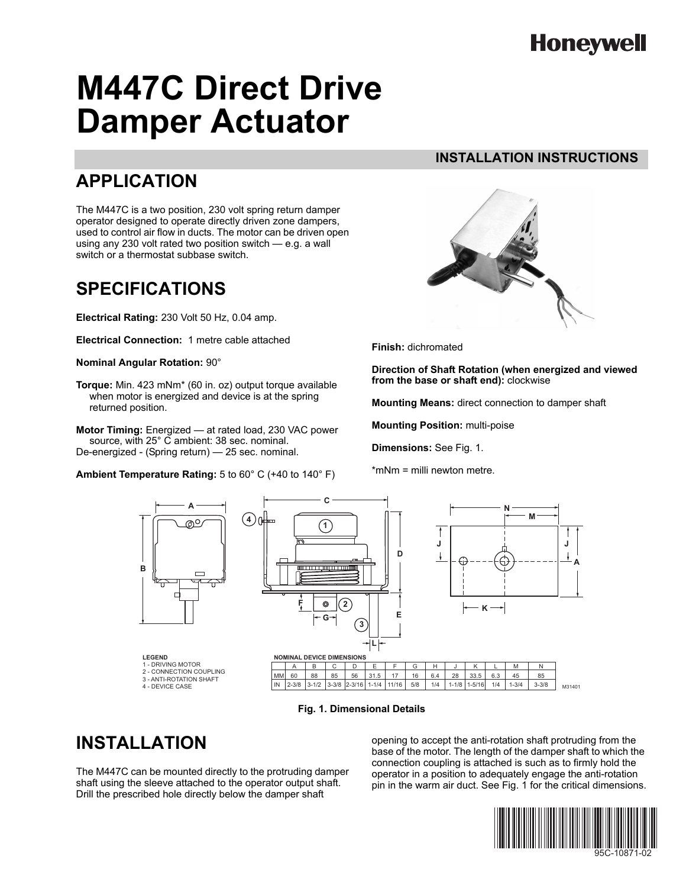## **Honeywell**

# **M447C Direct Drive Damper Actuator**

### **INSTALLATION INSTRUCTIONS**

## **APPLICATION**

The M447C is a two position, 230 volt spring return damper operator designed to operate directly driven zone dampers, used to control air flow in ducts. The motor can be driven open using any 230 volt rated two position switch — e.g. a wall switch or a thermostat subbase switch.

### **SPECIFICATIONS**

**Electrical Rating:** 230 Volt 50 Hz, 0.04 amp.

**Electrical Connection:** 1 metre cable attached

**Nominal Angular Rotation:** 90°

**Torque:** Min. 423 mNm\* (60 in. oz) output torque available when motor is energized and device is at the spring returned position.

**Motor Timing:** Energized — at rated load, 230 VAC power source, with 25° C ambient: 38 sec. nominal. De-energized - (Spring return) — 25 sec. nominal.

### **Ambient Temperature Rating:** 5 to 60° C (+40 to 140° F)



**Finish:** dichromated

**Direction of Shaft Rotation (when energized and viewed from the base or shaft end):** clockwise

**Mounting Means:** direct connection to damper shaft

**Mounting Position:** multi-poise

**Dimensions:** See Fig. 1.

\*mNm = milli newton metre.



**Fig. 1. Dimensional Details**

### **INSTALLATION**

The M447C can be mounted directly to the protruding damper shaft using the sleeve attached to the operator output shaft. Drill the prescribed hole directly below the damper shaft

opening to accept the anti-rotation shaft protruding from the base of the motor. The length of the damper shaft to which the connection coupling is attached is such as to firmly hold the operator in a position to adequately engage the anti-rotation pin in the warm air duct. See Fig. 1 for the critical dimensions.



95C-10871-02